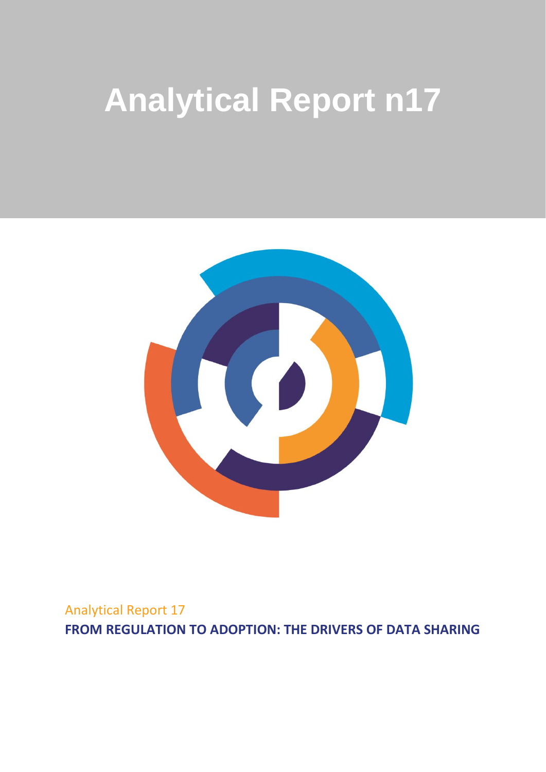# **Analytical Report n17**



Analytical Report 17 **FROM REGULATION TO ADOPTION: THE DRIVERS OF DATA SHARING**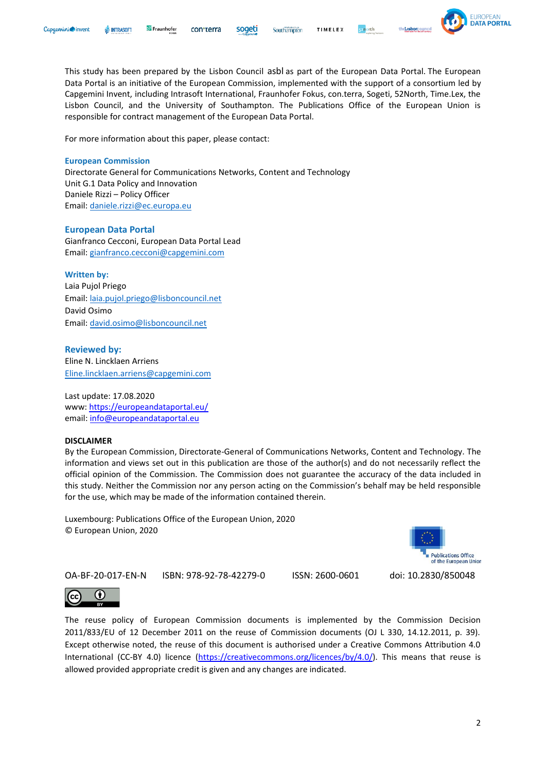This study has been prepared by the Lisbon Council asbl as part of the European Data Portal. The European Data Portal is an initiative of the European Commission, implemented with the support of a consortium led by Capgemini Invent, including Intrasoft International, Fraunhofer Fokus, con.terra, Sogeti, 52North, Time.Lex, the Lisbon Council, and the University of Southampton. The Publications Office of the European Union is responsible for contract management of the European Data Portal.

Southampton

TIMELEX

For more information about this paper, please contact:

Fraunhofer

#### **European Commission**

**III** INTRASOFT

Capaemini invent

Directorate General for Communications Networks, Content and Technology Unit G.1 Data Policy and Innovation Daniele Rizzi – Policy Officer Email: [daniele.rizzi@ec.europa.eu](mailto:daniele.rizzi@ec.europa.eu)

#### **European Data Portal**

Gianfranco Cecconi, European Data Portal Lead Email: [gianfranco.cecconi@capgemini.com](mailto:gianfranco.cecconi@capgemini.com)

#### **Written by:**

Laia Pujol Priego Email: [laia.pujol.priego@lisboncouncil.net](mailto:laia.pujol.priego@lisboncouncil.net) David Osimo Email: [david.osimo@lisboncouncil.net](mailto:david.osimo@lisboncouncil.net)

**Reviewed by:** Eline N. Lincklaen Arriens [Eline.lincklaen.arriens@capgemini.com](mailto:Eline.lincklaen.arriens@capgemini.com)

Last update: 17.08.2020 www:<https://europeandataportal.eu/> email: [info@europeandataportal.eu](mailto:info@europeandataportal.eu)

#### **DISCLAIMER**

By the European Commission, Directorate-General of Communications Networks, Content and Technology. The information and views set out in this publication are those of the author(s) and do not necessarily reflect the official opinion of the Commission. The Commission does not guarantee the accuracy of the data included in this study. Neither the Commission nor any person acting on the Commission's behalf may be held responsible for the use, which may be made of the information contained therein.

Luxembourg: Publications Office of the European Union, 2020 © European Union, 2020

 $\left( \cdot \right)$ 

The reuse policy of European Commission documents is implemented by the Commission Decision 2011/833/EU of 12 December 2011 on the reuse of Commission documents (OJ L 330, 14.12.2011, p. 39). Except otherwise noted, the reuse of this document is authorised under a Creative Commons Attribution 4.0 International (CC-BY 4.0) licence [\(https://creativecommons.org/licences/by/4.0/\)](https://creativecommons.org/licenses/by/4.0/). This means that reuse is allowed provided appropriate credit is given and any changes are indicated.





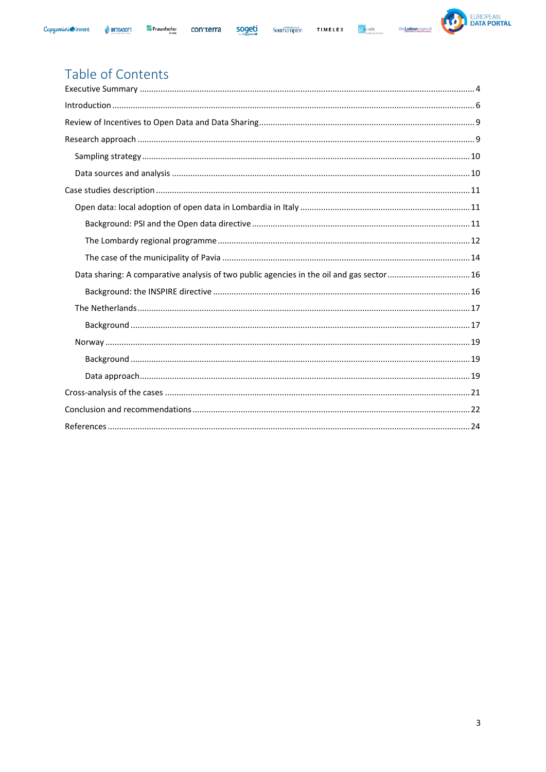





# Table of Contents

| Data sharing: A comparative analysis of two public agencies in the oil and gas sector 16 |  |
|------------------------------------------------------------------------------------------|--|
|                                                                                          |  |
|                                                                                          |  |
|                                                                                          |  |
|                                                                                          |  |
|                                                                                          |  |
|                                                                                          |  |
|                                                                                          |  |
|                                                                                          |  |
|                                                                                          |  |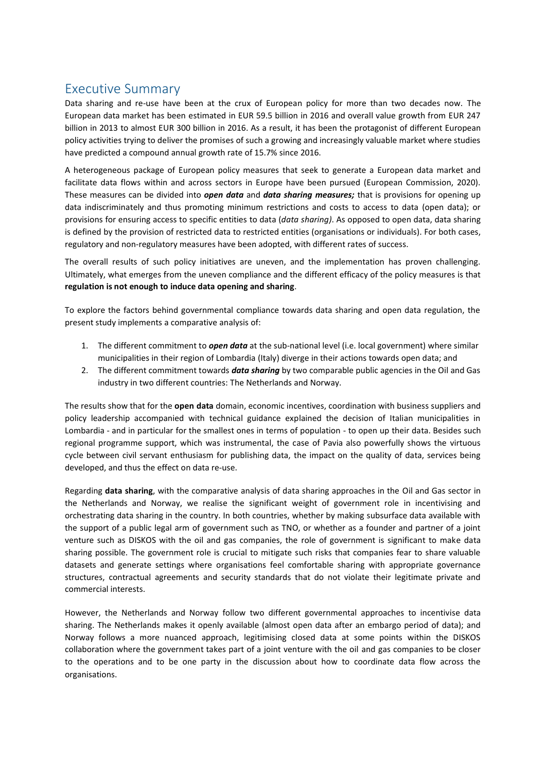# <span id="page-3-0"></span>Executive Summary

Data sharing and re-use have been at the crux of European policy for more than two decades now. The European data market has been estimated in EUR 59.5 billion in 2016 and overall value growth from EUR 247 billion in 2013 to almost EUR 300 billion in 2016. As a result, it has been the protagonist of different European policy activities trying to deliver the promises of such a growing and increasingly valuable market where studies have predicted a compound annual growth rate of 15.7% since 2016.

A heterogeneous package of European policy measures that seek to generate a European data market and facilitate data flows within and across sectors in Europe have been pursued (European Commission, 2020). These measures can be divided into *open data* and *data sharing measures;* that is provisions for opening up data indiscriminately and thus promoting minimum restrictions and costs to access to data (open data); or provisions for ensuring access to specific entities to data (*data sharing)*. As opposed to open data, data sharing is defined by the provision of restricted data to restricted entities (organisations or individuals). For both cases, regulatory and non-regulatory measures have been adopted, with different rates of success.

The overall results of such policy initiatives are uneven, and the implementation has proven challenging. Ultimately, what emerges from the uneven compliance and the different efficacy of the policy measures is that **regulation is not enough to induce data opening and sharing**.

To explore the factors behind governmental compliance towards data sharing and open data regulation, the present study implements a comparative analysis of:

- 1. The different commitment to *open data* at the sub-national level (i.e. local government) where similar municipalities in their region of Lombardia (Italy) diverge in their actions towards open data; and
- 2. The different commitment towards *data sharing* by two comparable public agencies in the Oil and Gas industry in two different countries: The Netherlands and Norway.

The results show that for the **open data** domain, economic incentives, coordination with business suppliers and policy leadership accompanied with technical guidance explained the decision of Italian municipalities in Lombardia - and in particular for the smallest ones in terms of population - to open up their data. Besides such regional programme support, which was instrumental, the case of Pavia also powerfully shows the virtuous cycle between civil servant enthusiasm for publishing data, the impact on the quality of data, services being developed, and thus the effect on data re-use.

Regarding **data sharing**, with the comparative analysis of data sharing approaches in the Oil and Gas sector in the Netherlands and Norway, we realise the significant weight of government role in incentivising and orchestrating data sharing in the country. In both countries, whether by making subsurface data available with the support of a public legal arm of government such as TNO, or whether as a founder and partner of a joint venture such as DISKOS with the oil and gas companies, the role of government is significant to make data sharing possible. The government role is crucial to mitigate such risks that companies fear to share valuable datasets and generate settings where organisations feel comfortable sharing with appropriate governance structures, contractual agreements and security standards that do not violate their legitimate private and commercial interests.

However, the Netherlands and Norway follow two different governmental approaches to incentivise data sharing. The Netherlands makes it openly available (almost open data after an embargo period of data); and Norway follows a more nuanced approach, legitimising closed data at some points within the DISKOS collaboration where the government takes part of a joint venture with the oil and gas companies to be closer to the operations and to be one party in the discussion about how to coordinate data flow across the organisations.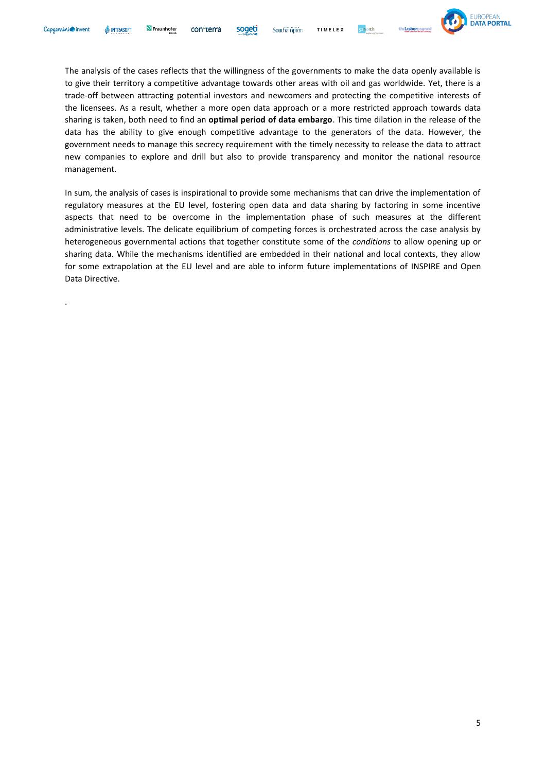.



The analysis of the cases reflects that the willingness of the governments to make the data openly available is to give their territory a competitive advantage towards other areas with oil and gas worldwide. Yet, there is a trade-off between attracting potential investors and newcomers and protecting the competitive interests of the licensees. As a result, whether a more open data approach or a more restricted approach towards data sharing is taken, both need to find an **optimal period of data embargo**. This time dilation in the release of the data has the ability to give enough competitive advantage to the generators of the data. However, the government needs to manage this secrecy requirement with the timely necessity to release the data to attract new companies to explore and drill but also to provide transparency and monitor the national resource management.

Southampton

In sum, the analysis of cases is inspirational to provide some mechanisms that can drive the implementation of regulatory measures at the EU level, fostering open data and data sharing by factoring in some incentive aspects that need to be overcome in the implementation phase of such measures at the different administrative levels. The delicate equilibrium of competing forces is orchestrated across the case analysis by heterogeneous governmental actions that together constitute some of the *conditions* to allow opening up or sharing data. While the mechanisms identified are embedded in their national and local contexts, they allow for some extrapolation at the EU level and are able to inform future implementations of INSPIRE and Open Data Directive.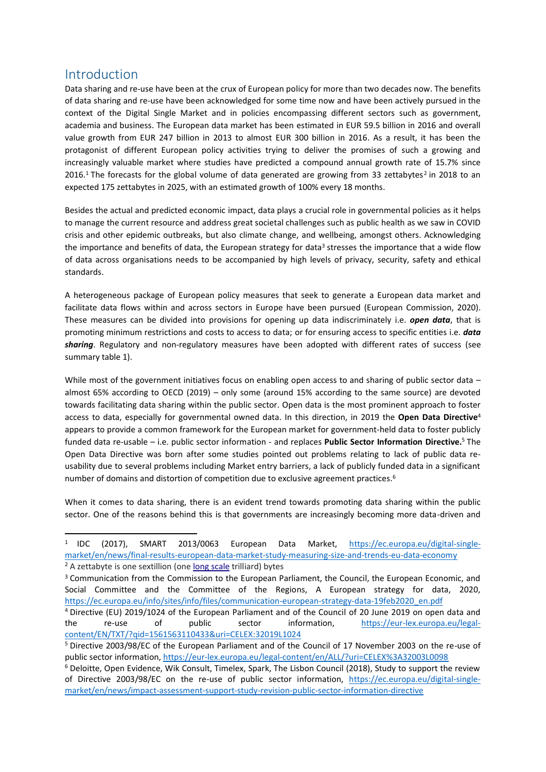# <span id="page-5-0"></span>Introduction

Data sharing and re-use have been at the crux of European policy for more than two decades now. The benefits of data sharing and re-use have been acknowledged for some time now and have been actively pursued in the context of the Digital Single Market and in policies encompassing different sectors such as government, academia and business. The European data market has been estimated in EUR 59.5 billion in 2016 and overall value growth from EUR 247 billion in 2013 to almost EUR 300 billion in 2016. As a result, it has been the protagonist of different European policy activities trying to deliver the promises of such a growing and increasingly valuable market where studies have predicted a compound annual growth rate of 15.7% since 2016.<sup>1</sup> The forecasts for the global volume of data generated are growing from 33 zettabytes<sup>2</sup> in 2018 to an expected 175 zettabytes in 2025, with an estimated growth of 100% every 18 months.

Besides the actual and predicted economic impact, data plays a crucial role in governmental policies as it helps to manage the current resource and address great societal challenges such as public health as we saw in COVID crisis and other epidemic outbreaks, but also climate change, and wellbeing, amongst others. Acknowledging the importance and benefits of data, the European strategy for data<sup>3</sup> stresses the importance that a wide flow of data across organisations needs to be accompanied by high levels of privacy, security, safety and ethical standards.

A heterogeneous package of European policy measures that seek to generate a European data market and facilitate data flows within and across sectors in Europe have been pursued (European Commission, 2020). These measures can be divided into provisions for opening up data indiscriminately i.e. *open data*, that is promoting minimum restrictions and costs to access to data; or for ensuring access to specific entities i.e. *data sharing*. Regulatory and non-regulatory measures have been adopted with different rates of success (see summary table 1).

While most of the government initiatives focus on enabling open access to and sharing of public sector data – almost 65% according to OECD (2019) – only some (around 15% according to the same source) are devoted towards facilitating data sharing within the public sector. Open data is the most prominent approach to foster access to data, especially for governmental owned data. In this direction, in 2019 the **Open Data Directive**<sup>4</sup> appears to provide a common framework for the European market for government-held data to foster publicly funded data re-usable – i.e. public sector information - and replaces **Public Sector Information Directive.** <sup>5</sup> The Open Data Directive was born after some studies pointed out problems relating to lack of public data reusability due to several problems including Market entry barriers, a lack of publicly funded data in a significant number of domains and distortion of competition due to exclusive agreement practices.<sup>6</sup>

When it comes to data sharing, there is an evident trend towards promoting data sharing within the public sector. One of the reasons behind this is that governments are increasingly becoming more data-driven and

 $1$  IDC (2017), SMART 2013/0063 European Data Market, [https://ec.europa.eu/digital-single](https://ec.europa.eu/digital-single-market/en/news/final-results-european-data-market-study-measuring-size-and-trends-eu-data-economy)[market/en/news/final-results-european-data-market-study-measuring-size-and-trends-eu-data-economy](https://ec.europa.eu/digital-single-market/en/news/final-results-european-data-market-study-measuring-size-and-trends-eu-data-economy) <sup>2</sup> A zettabyte is one sextillion (one [long scale](https://en.wikipedia.org/wiki/Long_and_short_scales) trilliard) bytes

<sup>&</sup>lt;sup>3</sup> Communication from the Commission to the European Parliament, the Council, the European Economic, and Social Committee and the Committee of the Regions, A European strategy for data, 2020, [https://ec.europa.eu/info/sites/info/files/communication-european-strategy-data-19feb2020\\_en.pdf](https://ec.europa.eu/info/sites/info/files/communication-european-strategy-data-19feb2020_en.pdf)

<sup>4</sup> Directive (EU) 2019/1024 of the European Parliament and of the Council of 20 June 2019 on open data and the re-use of public sector information, [https://eur-lex.europa.eu/legal](https://eur-lex.europa.eu/legal-content/EN/TXT/?qid=1561563110433&uri=CELEX:32019L1024)[content/EN/TXT/?qid=1561563110433&uri=CELEX:32019L1024](https://eur-lex.europa.eu/legal-content/EN/TXT/?qid=1561563110433&uri=CELEX:32019L1024)

<sup>5</sup> Directive 2003/98/EC of the European Parliament and of the Council of 17 November 2003 on the re-use of public sector information,<https://eur-lex.europa.eu/legal-content/en/ALL/?uri=CELEX%3A32003L0098>

<sup>6</sup> Deloitte, Open Evidence, Wik Consult, Timelex, Spark, The Lisbon Council (2018), Study to support the review of Directive 2003/98/EC on the re-use of public sector information, [https://ec.europa.eu/digital-single](https://ec.europa.eu/digital-single-market/en/news/impact-assessment-support-study-revision-public-sector-information-directive)[market/en/news/impact-assessment-support-study-revision-public-sector-information-directive](https://ec.europa.eu/digital-single-market/en/news/impact-assessment-support-study-revision-public-sector-information-directive)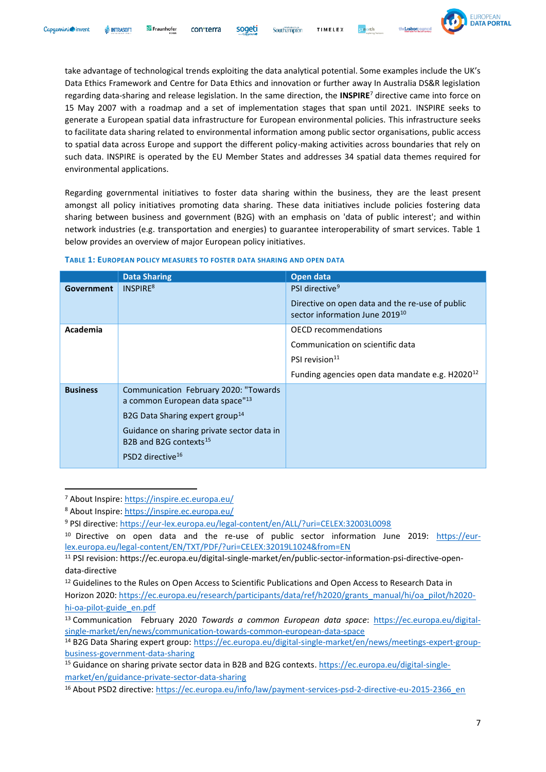

take advantage of technological trends exploiting the data analytical potential. Some examples include the UK's Data Ethics Framework and Centre for Data Ethics and innovation or further away In Australia DS&R legislation regarding data-sharing and release legislation. In the same direction, the **INSPIRE**<sup>7</sup> directive came into force on 15 May 2007 with a roadmap and a set of implementation stages that span until 2021. INSPIRE seeks to generate a European spatial data infrastructure for European environmental policies. This infrastructure seeks to facilitate data sharing related to environmental information among public sector organisations, public access to spatial data across Europe and support the different policy-making activities across boundaries that rely on such data. INSPIRE is operated by the EU Member States and addresses 34 spatial data themes required for environmental applications.

Regarding governmental initiatives to foster data sharing within the business, they are the least present amongst all policy initiatives promoting data sharing. These data initiatives include policies fostering data sharing between business and government (B2G) with an emphasis on 'data of public interest'; and within network industries (e.g. transportation and energies) to guarantee interoperability of smart services. Table 1 below provides an overview of major European policy initiatives.

|                   | <b>Data Sharing</b>                                                                  | Open data                                                                                     |
|-------------------|--------------------------------------------------------------------------------------|-----------------------------------------------------------------------------------------------|
| <b>Government</b> | INSPIRE <sup>8</sup>                                                                 | PSI directive <sup>9</sup>                                                                    |
|                   |                                                                                      | Directive on open data and the re-use of public<br>sector information June 2019 <sup>10</sup> |
| Academia          |                                                                                      | OECD recommendations                                                                          |
|                   |                                                                                      | Communication on scientific data                                                              |
|                   |                                                                                      | PSI revision <sup>11</sup>                                                                    |
|                   |                                                                                      | Funding agencies open data mandate e.g. H2020 <sup>12</sup>                                   |
| <b>Business</b>   | Communication February 2020: "Towards<br>a common European data space" <sup>13</sup> |                                                                                               |
|                   | B2G Data Sharing expert group <sup>14</sup>                                          |                                                                                               |
|                   | Guidance on sharing private sector data in                                           |                                                                                               |
|                   | B <sub>2</sub> B and B <sub>2</sub> G contexts <sup>15</sup>                         |                                                                                               |
|                   | PSD2 directive <sup>16</sup>                                                         |                                                                                               |

#### **TABLE 1: EUROPEAN POLICY MEASURES TO FOSTER DATA SHARING AND OPEN DATA**

<sup>7</sup> About Inspire:<https://inspire.ec.europa.eu/>

<sup>8</sup> About Inspire:<https://inspire.ec.europa.eu/>

<sup>9</sup> PSI directive:<https://eur-lex.europa.eu/legal-content/en/ALL/?uri=CELEX:32003L0098>

<sup>&</sup>lt;sup>10</sup> Directive on open data and the re-use of public sector information June 2019: [https://eur](https://eur-lex.europa.eu/legal-content/EN/TXT/PDF/?uri=CELEX:32019L1024&from=EN)[lex.europa.eu/legal-content/EN/TXT/PDF/?uri=CELEX:32019L1024&from=EN](https://eur-lex.europa.eu/legal-content/EN/TXT/PDF/?uri=CELEX:32019L1024&from=EN)

<sup>11</sup> PSI revision: https://ec.europa.eu/digital-single-market/en/public-sector-information-psi-directive-opendata-directive

<sup>&</sup>lt;sup>12</sup> Guidelines to the Rules on Open Access to Scientific Publications and Open Access to Research Data in

Horizon 2020: [https://ec.europa.eu/research/participants/data/ref/h2020/grants\\_manual/hi/oa\\_pilot/h2020](https://ec.europa.eu/research/participants/data/ref/h2020/grants_manual/hi/oa_pilot/h2020-hi-oa-pilot-guide_en.pdf) [hi-oa-pilot-guide\\_en.pdf](https://ec.europa.eu/research/participants/data/ref/h2020/grants_manual/hi/oa_pilot/h2020-hi-oa-pilot-guide_en.pdf)

<sup>13</sup> Communication February 2020 *Towards a common European data space*: [https://ec.europa.eu/digital](https://ec.europa.eu/digital-single-market/en/news/communication-towards-common-european-data-space)[single-market/en/news/communication-towards-common-european-data-space](https://ec.europa.eu/digital-single-market/en/news/communication-towards-common-european-data-space)

<sup>14</sup> B2G Data Sharing expert group: [https://ec.europa.eu/digital-single-market/en/news/meetings-expert-group](https://ec.europa.eu/digital-single-market/en/news/meetings-expert-group-business-government-data-sharing)[business-government-data-sharing](https://ec.europa.eu/digital-single-market/en/news/meetings-expert-group-business-government-data-sharing)

<sup>&</sup>lt;sup>15</sup> Guidance on sharing private sector data in B2B and B2G contexts. [https://ec.europa.eu/digital-single](https://ec.europa.eu/digital-single-market/en/guidance-private-sector-data-sharing)[market/en/guidance-private-sector-data-sharing](https://ec.europa.eu/digital-single-market/en/guidance-private-sector-data-sharing)

<sup>16</sup> About PSD2 directive: [https://ec.europa.eu/info/law/payment-services-psd-2-directive-eu-2015-2366\\_en](https://ec.europa.eu/info/law/payment-services-psd-2-directive-eu-2015-2366_en)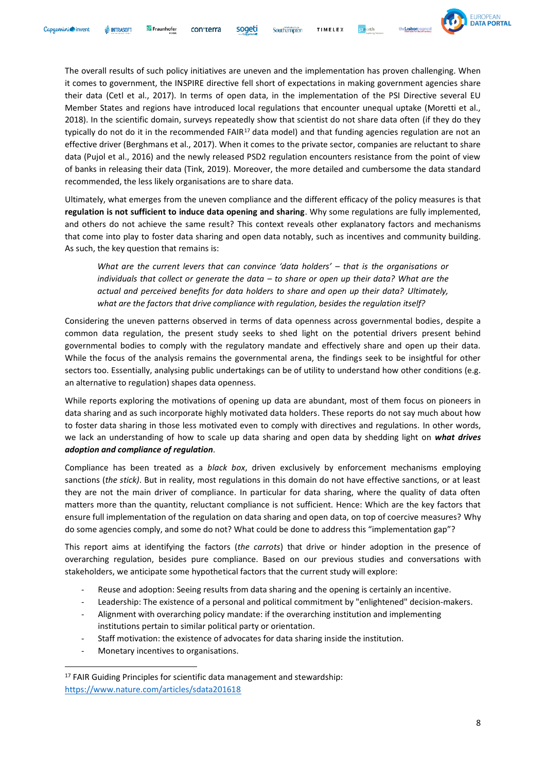

The overall results of such policy initiatives are uneven and the implementation has proven challenging. When it comes to government, the INSPIRE directive fell short of expectations in making government agencies share their data (Cetl et al., 2017). In terms of open data, in the implementation of the PSI Directive several EU Member States and regions have introduced local regulations that encounter unequal uptake (Moretti et al., 2018). In the scientific domain, surveys repeatedly show that scientist do not share data often (if they do they typically do not do it in the recommended FAIR<sup>17</sup> data model) and that funding agencies regulation are not an effective driver (Berghmans et al., 2017). When it comes to the private sector, companies are reluctant to share data (Pujol et al., 2016) and the newly released PSD2 regulation encounters resistance from the point of view of banks in releasing their data (Tink, 2019). Moreover, the more detailed and cumbersome the data standard recommended, the less likely organisations are to share data.

Ultimately, what emerges from the uneven compliance and the different efficacy of the policy measures is that **regulation is not sufficient to induce data opening and sharing**. Why some regulations are fully implemented, and others do not achieve the same result? This context reveals other explanatory factors and mechanisms that come into play to foster data sharing and open data notably, such as incentives and community building. As such, the key question that remains is:

*What are the current levers that can convince 'data holders' – that is the organisations or individuals that collect or generate the data – to share or open up their data? What are the actual and perceived benefits for data holders to share and open up their data? Ultimately, what are the factors that drive compliance with regulation, besides the regulation itself?*

Considering the uneven patterns observed in terms of data openness across governmental bodies, despite a common data regulation, the present study seeks to shed light on the potential drivers present behind governmental bodies to comply with the regulatory mandate and effectively share and open up their data. While the focus of the analysis remains the governmental arena, the findings seek to be insightful for other sectors too. Essentially, analysing public undertakings can be of utility to understand how other conditions (e.g. an alternative to regulation) shapes data openness.

While reports exploring the motivations of opening up data are abundant, most of them focus on pioneers in data sharing and as such incorporate highly motivated data holders. These reports do not say much about how to foster data sharing in those less motivated even to comply with directives and regulations. In other words, we lack an understanding of how to scale up data sharing and open data by shedding light on *what drives adoption and compliance of regulation*.

Compliance has been treated as a *black box*, driven exclusively by enforcement mechanisms employing sanctions (*the stick)*. But in reality, most regulations in this domain do not have effective sanctions, or at least they are not the main driver of compliance. In particular for data sharing, where the quality of data often matters more than the quantity, reluctant compliance is not sufficient. Hence: Which are the key factors that ensure full implementation of the regulation on data sharing and open data, on top of coercive measures? Why do some agencies comply, and some do not? What could be done to address this "implementation gap"?

This report aims at identifying the factors (*the carrots*) that drive or hinder adoption in the presence of overarching regulation, besides pure compliance. Based on our previous studies and conversations with stakeholders, we anticipate some hypothetical factors that the current study will explore:

- Reuse and adoption: Seeing results from data sharing and the opening is certainly an incentive.
- Leadership: The existence of a personal and political commitment by "enlightened" decision-makers.
- Alignment with overarching policy mandate: if the overarching institution and implementing institutions pertain to similar political party or orientation.
- Staff motivation: the existence of advocates for data sharing inside the institution.
- Monetary incentives to organisations.

<sup>&</sup>lt;sup>17</sup> FAIR Guiding Principles for scientific data management and stewardship: <https://www.nature.com/articles/sdata201618>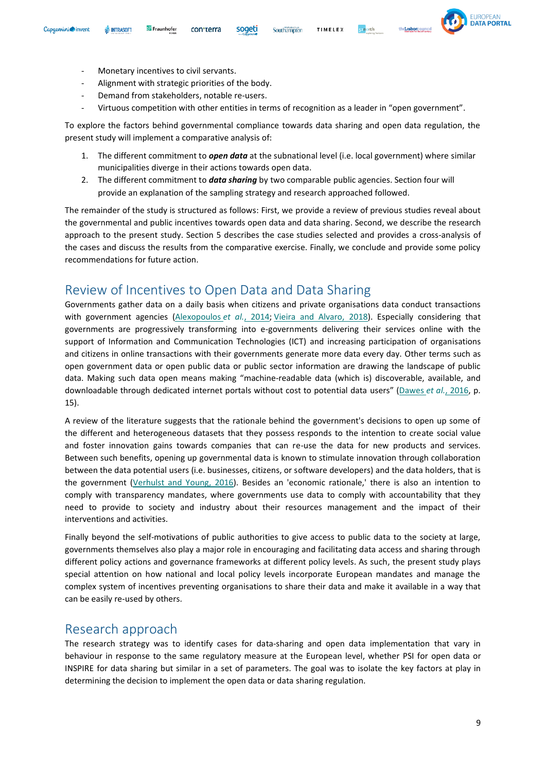

- Monetary incentives to civil servants.
- Alignment with strategic priorities of the body.
- Demand from stakeholders, notable re-users.
- Virtuous competition with other entities in terms of recognition as a leader in "open government".

soaeti

To explore the factors behind governmental compliance towards data sharing and open data regulation, the present study will implement a comparative analysis of:

- 1. The different commitment to *open data* at the subnational level (i.e. local government) where similar municipalities diverge in their actions towards open data.
- 2. The different commitment to *data sharing* by two comparable public agencies. Section four will provide an explanation of the sampling strategy and research approached followed.

The remainder of the study is structured as follows: First, we provide a review of previous studies reveal about the governmental and public incentives towards open data and data sharing. Second, we describe the research approach to the present study. Section 5 describes the case studies selected and provides a cross-analysis of the cases and discuss the results from the comparative exercise. Finally, we conclude and provide some policy recommendations for future action.

## <span id="page-8-0"></span>Review of Incentives to Open Data and Data Sharing

Governments gather data on a daily basis when citizens and private organisations data conduct transactions with government agencies [\(Alexopoulos](https://www-emerald-com.proxy.library.georgetown.edu/insight/content/doi/10.1108/FS-07-2018-0074/full/html#ref004) *et al.*, 2014; [Vieira and Alvaro, 2018\)](https://www-emerald-com.proxy.library.georgetown.edu/insight/content/doi/10.1108/FS-07-2018-0074/full/html#ref0103). Especially considering that governments are progressively transforming into e-governments delivering their services online with the support of Information and Communication Technologies (ICT) and increasing participation of organisations and citizens in online transactions with their governments generate more data every day. Other terms such as open government data or open public data or public sector information are drawing the landscape of public data. Making such data open means making "machine-readable data (which is) discoverable, available, and downloadable through dedicated internet portals without cost to potential data users" [\(Dawes](https://www-emerald-com.proxy.library.georgetown.edu/insight/content/doi/10.1108/FS-07-2018-0074/full/html#ref017) *et al.*, 2016, p. 15).

A review of the literature suggests that the rationale behind the government's decisions to open up some of the different and heterogeneous datasets that they possess responds to the intention to create social value and foster innovation gains towards companies that can re-use the data for new products and services. Between such benefits, opening up governmental data is known to stimulate innovation through collaboration between the data potential users (i.e. businesses, citizens, or software developers) and the data holders, that is the government [\(Verhulst and Young, 2016\)](https://www-emerald-com.proxy.library.georgetown.edu/insight/content/doi/10.1108/FS-07-2018-0074/full/html#ref0101). Besides an 'economic rationale,' there is also an intention to comply with transparency mandates, where governments use data to comply with accountability that they need to provide to society and industry about their resources management and the impact of their interventions and activities.

Finally beyond the self-motivations of public authorities to give access to public data to the society at large, governments themselves also play a major role in encouraging and facilitating data access and sharing through different policy actions and governance frameworks at different policy levels. As such, the present study plays special attention on how national and local policy levels incorporate European mandates and manage the complex system of incentives preventing organisations to share their data and make it available in a way that can be easily re-used by others.

## <span id="page-8-1"></span>Research approach

The research strategy was to identify cases for data-sharing and open data implementation that vary in behaviour in response to the same regulatory measure at the European level, whether PSI for open data or INSPIRE for data sharing but similar in a set of parameters. The goal was to isolate the key factors at play in determining the decision to implement the open data or data sharing regulation.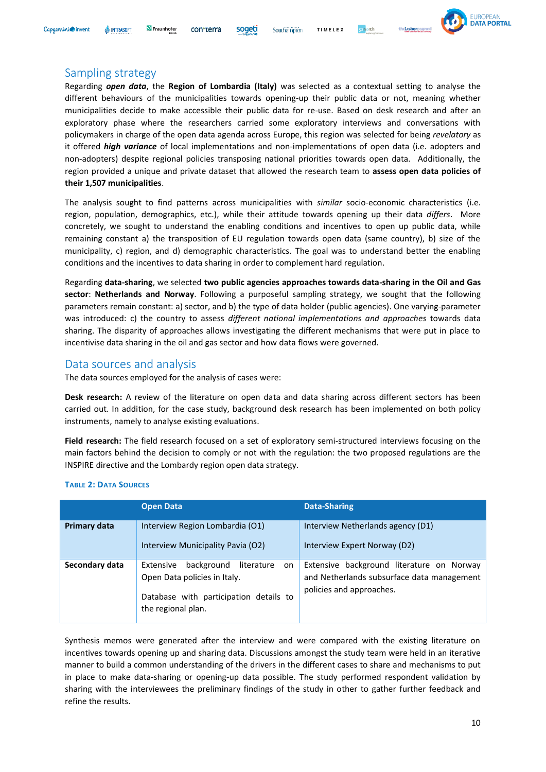#### Capaemini invent **INTRASOFT**



#### <span id="page-9-0"></span>Sampling strategy

Regarding *open data*, the **Region of Lombardia (Italy)** was selected as a contextual setting to analyse the different behaviours of the municipalities towards opening-up their public data or not, meaning whether municipalities decide to make accessible their public data for re-use. Based on desk research and after an exploratory phase where the researchers carried some exploratory interviews and conversations with policymakers in charge of the open data agenda across Europe, this region was selected for being *revelatory* as it offered *high variance* of local implementations and non-implementations of open data (i.e. adopters and non-adopters) despite regional policies transposing national priorities towards open data. Additionally, the region provided a unique and private dataset that allowed the research team to **assess open data policies of their 1,507 municipalities**.

The analysis sought to find patterns across municipalities with *similar* socio-economic characteristics (i.e. region, population, demographics, etc.), while their attitude towards opening up their data *differs*. More concretely, we sought to understand the enabling conditions and incentives to open up public data, while remaining constant a) the transposition of EU regulation towards open data (same country), b) size of the municipality, c) region, and d) demographic characteristics. The goal was to understand better the enabling conditions and the incentives to data sharing in order to complement hard regulation.

Regarding **data-sharing**, we selected **two public agencies approaches towards data-sharing in the Oil and Gas sector**: **Netherlands and Norway**. Following a purposeful sampling strategy, we sought that the following parameters remain constant: a) sector, and b) the type of data holder (public agencies). One varying-parameter was introduced: c) the country to assess *different national implementations and approaches* towards data sharing. The disparity of approaches allows investigating the different mechanisms that were put in place to incentivise data sharing in the oil and gas sector and how data flows were governed.

### <span id="page-9-1"></span>Data sources and analysis

The data sources employed for the analysis of cases were:

**Desk research:** A review of the literature on open data and data sharing across different sectors has been carried out. In addition, for the case study, background desk research has been implemented on both policy instruments, namely to analyse existing evaluations.

**Field research:** The field research focused on a set of exploratory semi-structured interviews focusing on the main factors behind the decision to comply or not with the regulation: the two proposed regulations are the INSPIRE directive and the Lombardy region open data strategy.

|                | <b>Open Data</b>                                                                                                                            | <b>Data-Sharing</b>                                                                                                 |
|----------------|---------------------------------------------------------------------------------------------------------------------------------------------|---------------------------------------------------------------------------------------------------------------------|
| Primary data   | Interview Region Lombardia (O1)<br>Interview Municipality Pavia (O2)                                                                        | Interview Netherlands agency (D1)<br>Interview Expert Norway (D2)                                                   |
| Secondary data | background<br>Extensive<br>literature<br>on<br>Open Data policies in Italy.<br>Database with participation details to<br>the regional plan. | Extensive background literature on Norway<br>and Netherlands subsurface data management<br>policies and approaches. |

#### **TABLE 2: DATA SOURCES**

Synthesis memos were generated after the interview and were compared with the existing literature on incentives towards opening up and sharing data. Discussions amongst the study team were held in an iterative manner to build a common understanding of the drivers in the different cases to share and mechanisms to put in place to make data-sharing or opening-up data possible. The study performed respondent validation by sharing with the interviewees the preliminary findings of the study in other to gather further feedback and refine the results.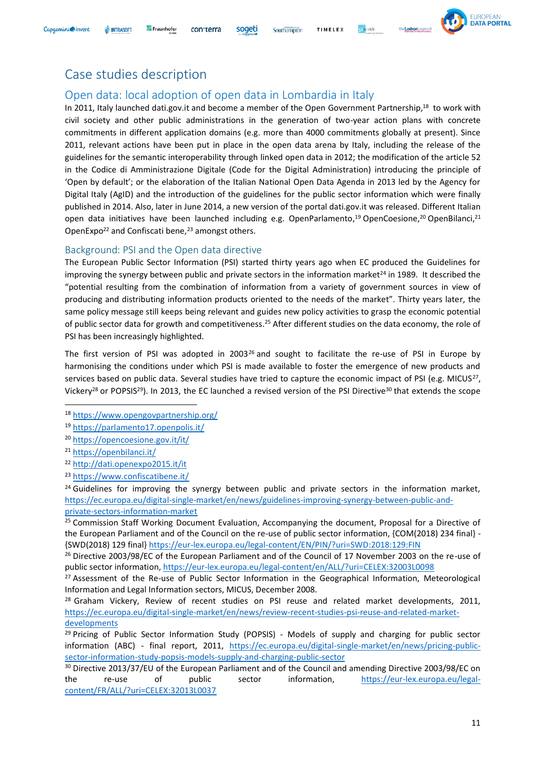# <span id="page-10-0"></span>Case studies description

Fraunhofer

**III** INTRASOFT

Capaemini invent

# <span id="page-10-1"></span>Open data: local adoption of open data in Lombardia in Italy

con<sub>terra</sub>

In 2011, Italy launched dati.gov.it and become a member of the Open Government Partnership,<sup>18</sup> to work with civil society and other public administrations in the generation of two-year action plans with concrete commitments in different application domains (e.g. more than 4000 commitments globally at present). Since 2011, relevant actions have been put in place in the open data arena by Italy, including the release of the guidelines for the semantic interoperability through linked open data in 2012; the modification of the article 52 in the Codice di Amministrazione Digitale (Code for the Digital Administration) introducing the principle of 'Open by default'; or the elaboration of the Italian National Open Data Agenda in 2013 led by the Agency for Digital Italy (AgID) and the introduction of the guidelines for the public sector information which were finally published in 2014. Also, later in June 2014, a new version of the portal dati.gov.it was released. Different Italian open data initiatives have been launched including e.g. OpenParlamento,<sup>19</sup> OpenCoesione,<sup>20</sup> OpenBilanci,<sup>21</sup> OpenExpo<sup>22</sup> and Confiscati bene,<sup>23</sup> amongst others.

#### <span id="page-10-2"></span>Background: PSI and the Open data directive

The European Public Sector Information (PSI) started thirty years ago when EC produced the Guidelines for improving the synergy between public and private sectors in the information market $24$  in 1989. It described the "potential resulting from the combination of information from a variety of government sources in view of producing and distributing information products oriented to the needs of the market". Thirty years later, the same policy message still keeps being relevant and guides new policy activities to grasp the economic potential of public sector data for growth and competitiveness.<sup>25</sup> After different studies on the data economy, the role of PSI has been increasingly highlighted.

The first version of PSI was adopted in  $2003^{26}$  and sought to facilitate the re-use of PSI in Europe by harmonising the conditions under which PSI is made available to foster the emergence of new products and services based on public data. Several studies have tried to capture the economic impact of PSI (e.g. MICUS<sup>27</sup>, Vickery<sup>28</sup> or POPSIS<sup>29</sup>). In 2013, the EC launched a revised version of the PSI Directive<sup>30</sup> that extends the scope

<sup>23</sup> <https://www.confiscatibene.it/>

 $24$  Guidelines for improving the synergy between public and private sectors in the information market. [https://ec.europa.eu/digital-single-market/en/news/guidelines-improving-synergy-between-public-and](https://ec.europa.eu/digital-single-market/en/news/guidelines-improving-synergy-between-public-and-private-sectors-information-market)[private-sectors-information-market](https://ec.europa.eu/digital-single-market/en/news/guidelines-improving-synergy-between-public-and-private-sectors-information-market)

<sup>25</sup> Commission Staff Working Document Evaluation, Accompanying the document, Proposal for a Directive of the European Parliament and of the Council on the re-use of public sector information, {COM(2018) 234 final} - {SWD(2018) 129 final}<https://eur-lex.europa.eu/legal-content/EN/PIN/?uri=SWD:2018:129:FIN>

<sup>26</sup> Directive 2003/98/EC of the European Parliament and of the Council of 17 November 2003 on the re-use of public sector information,<https://eur-lex.europa.eu/legal-content/en/ALL/?uri=CELEX:32003L0098>

<sup>27</sup> Assessment of the Re-use of Public Sector Information in the Geographical Information, Meteorological Information and Legal Information sectors, MICUS, December 2008.

 $28$  Graham Vickery, Review of recent studies on PSI reuse and related market developments, 2011, [https://ec.europa.eu/digital-single-market/en/news/review-recent-studies-psi-reuse-and-related-market](https://ec.europa.eu/digital-single-market/en/news/review-recent-studies-psi-reuse-and-related-market-developments)[developments](https://ec.europa.eu/digital-single-market/en/news/review-recent-studies-psi-reuse-and-related-market-developments)

<sup>29</sup> Pricing of Public Sector Information Study (POPSIS) - Models of supply and charging for public sector information (ABC) - final report, 2011, [https://ec.europa.eu/digital-single-market/en/news/pricing-public](https://ec.europa.eu/digital-single-market/en/news/pricing-public-sector-information-study-popsis-models-supply-and-charging-public-sector)[sector-information-study-popsis-models-supply-and-charging-public-sector](https://ec.europa.eu/digital-single-market/en/news/pricing-public-sector-information-study-popsis-models-supply-and-charging-public-sector)

<sup>30</sup> Directive 2013/37/EU of the European Parliament and of the Council and amending Directive 2003/98/EC on the re-use of public sector information, [https://eur-lex.europa.eu/legal](https://eur-lex.europa.eu/legal-content/FR/ALL/?uri=CELEX:32013L0037)[content/FR/ALL/?uri=CELEX:32013L0037](https://eur-lex.europa.eu/legal-content/FR/ALL/?uri=CELEX:32013L0037)



Southampton



<sup>18</sup> <https://www.opengovpartnership.org/>

<sup>19</sup> <https://parlamento17.openpolis.it/>

<sup>20</sup> <https://opencoesione.gov.it/it/>

<sup>21</sup> <https://openbilanci.it/>

<sup>22</sup> <http://dati.openexpo2015.it/it>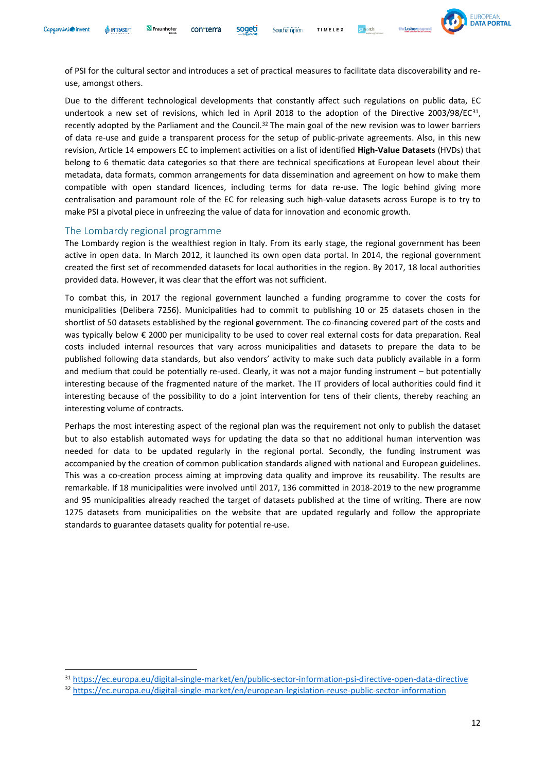

of PSI for the cultural sector and introduces a set of practical measures to facilitate data discoverability and reuse, amongst others.

soaeti

Due to the different technological developments that constantly affect such regulations on public data, EC undertook a new set of revisions, which led in April 2018 to the adoption of the Directive 2003/98/EC $^{31}$ , recently adopted by the Parliament and the Council.<sup>32</sup> The main goal of the new revision was to lower barriers of data re-use and guide a transparent process for the setup of public-private agreements. Also, in this new revision, Article 14 empowers EC to implement activities on a list of identified **High-Value Datasets** (HVDs) that belong to 6 thematic data categories so that there are technical specifications at European level about their metadata, data formats, common arrangements for data dissemination and agreement on how to make them compatible with open standard licences, including terms for data re-use. The logic behind giving more centralisation and paramount role of the EC for releasing such high-value datasets across Europe is to try to make PSI a pivotal piece in unfreezing the value of data for innovation and economic growth.

#### <span id="page-11-0"></span>The Lombardy regional programme

The Lombardy region is the wealthiest region in Italy. From its early stage, the regional government has been active in open data. In March 2012, it launched its own open data portal. In 2014, the regional government created the first set of recommended datasets for local authorities in the region. By 2017, 18 local authorities provided data. However, it was clear that the effort was not sufficient.

To combat this, in 2017 the regional government launched a funding programme to cover the costs for municipalities (Delibera 7256). Municipalities had to commit to publishing 10 or 25 datasets chosen in the shortlist of 50 datasets established by the regional government. The co-financing covered part of the costs and was typically below € 2000 per municipality to be used to cover real external costs for data preparation. Real costs included internal resources that vary across municipalities and datasets to prepare the data to be published following data standards, but also vendors' activity to make such data publicly available in a form and medium that could be potentially re-used. Clearly, it was not a major funding instrument – but potentially interesting because of the fragmented nature of the market. The IT providers of local authorities could find it interesting because of the possibility to do a joint intervention for tens of their clients, thereby reaching an interesting volume of contracts.

Perhaps the most interesting aspect of the regional plan was the requirement not only to publish the dataset but to also establish automated ways for updating the data so that no additional human intervention was needed for data to be updated regularly in the regional portal. Secondly, the funding instrument was accompanied by the creation of common publication standards aligned with national and European guidelines. This was a co-creation process aiming at improving data quality and improve its reusability. The results are remarkable. If 18 municipalities were involved until 2017, 136 committed in 2018-2019 to the new programme and 95 municipalities already reached the target of datasets published at the time of writing. There are now 1275 datasets from municipalities on the website that are updated regularly and follow the appropriate standards to guarantee datasets quality for potential re-use.

<sup>31</sup> <https://ec.europa.eu/digital-single-market/en/public-sector-information-psi-directive-open-data-directive>

<sup>32</sup> <https://ec.europa.eu/digital-single-market/en/european-legislation-reuse-public-sector-information>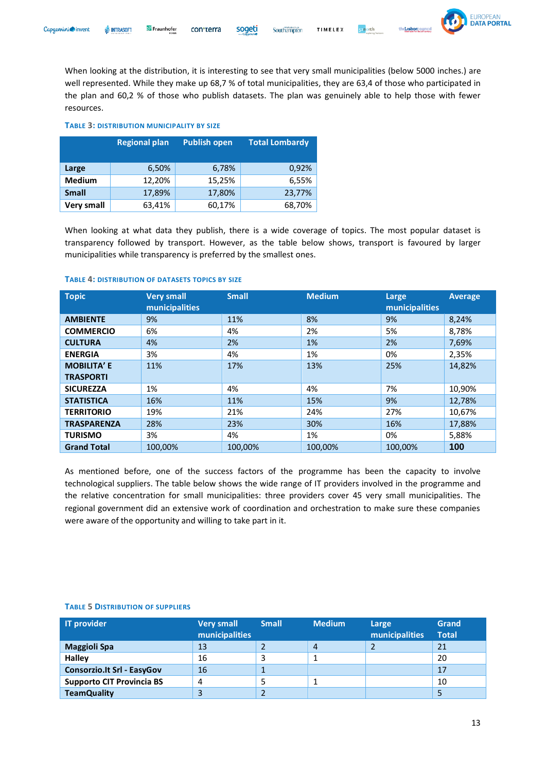

When looking at the distribution, it is interesting to see that very small municipalities (below 5000 inches.) are well represented. While they make up 68,7 % of total municipalities, they are 63,4 of those who participated in the plan and 60,2 % of those who publish datasets. The plan was genuinely able to help those with fewer resources.

#### **TABLE 3: DISTRIBUTION MUNICIPALITY BY SIZE**

|                   | <b>Regional plan</b> | <b>Publish open</b> | <b>Total Lombardy</b> |
|-------------------|----------------------|---------------------|-----------------------|
| Large             | 6,50%                | 6,78%               | 0,92%                 |
| <b>Medium</b>     | 12,20%               | 15,25%              | 6,55%                 |
| <b>Small</b>      | 17,89%               | 17,80%              | 23,77%                |
| <b>Very small</b> | 63,41%               | 60,17%              | 68,70%                |

When looking at what data they publish, there is a wide coverage of topics. The most popular dataset is transparency followed by transport. However, as the table below shows, transport is favoured by larger municipalities while transparency is preferred by the smallest ones.

#### **TABLE 4: DISTRIBUTION OF DATASETS TOPICS BY SIZE**

| <b>Topic</b>       | <b>Very small</b><br>municipalities | <b>Small</b> | <b>Medium</b> | Large<br>municipalities | <b>Average</b> |
|--------------------|-------------------------------------|--------------|---------------|-------------------------|----------------|
| <b>AMBIENTE</b>    | 9%                                  | 11%          | 8%            | 9%                      | 8,24%          |
| <b>COMMERCIO</b>   | 6%                                  | 4%           | 2%            | 5%                      | 8,78%          |
| <b>CULTURA</b>     | 4%                                  | 2%           | 1%            | 2%                      | 7,69%          |
| <b>ENERGIA</b>     | 3%                                  | 4%           | 1%            | 0%                      | 2,35%          |
| <b>MOBILITA' E</b> | 11%                                 | 17%          | 13%           | 25%                     | 14.82%         |
| <b>TRASPORTI</b>   |                                     |              |               |                         |                |
| <b>SICUREZZA</b>   | 1%                                  | 4%           | 4%            | 7%                      | 10,90%         |
| <b>STATISTICA</b>  | 16%                                 | 11%          | 15%           | 9%                      | 12,78%         |
| <b>TERRITORIO</b>  | 19%                                 | 21%          | 24%           | 27%                     | 10,67%         |
| <b>TRASPARENZA</b> | 28%                                 | 23%          | 30%           | 16%                     | 17,88%         |
| <b>TURISMO</b>     | 3%                                  | 4%           | 1%            | 0%                      | 5,88%          |
| <b>Grand Total</b> | 100,00%                             | 100,00%      | 100,00%       | 100,00%                 | 100            |

As mentioned before, one of the success factors of the programme has been the capacity to involve technological suppliers. The table below shows the wide range of IT providers involved in the programme and the relative concentration for small municipalities: three providers cover 45 very small municipalities. The regional government did an extensive work of coordination and orchestration to make sure these companies were aware of the opportunity and willing to take part in it.

| <b>IT provider</b>                | <b>Very small</b><br>municipalities | <b>Small</b> | <b>Medium</b> | Large<br>municipalities | Grand<br><b>Total</b> |
|-----------------------------------|-------------------------------------|--------------|---------------|-------------------------|-----------------------|
| <b>Maggioli Spa</b>               | 13                                  |              | 4             |                         | 21                    |
| <b>Halley</b>                     | 16                                  | ∍            |               |                         | 20                    |
| <b>Consorzio.It Srl - EasyGov</b> | 16                                  |              |               |                         | 17                    |
| <b>Supporto CIT Provincia BS</b>  | 4                                   |              |               |                         | 10                    |
| <b>TeamQuality</b>                | 3                                   |              |               |                         |                       |

#### **TABLE 5 DISTRIBUTION OF SUPPLIERS**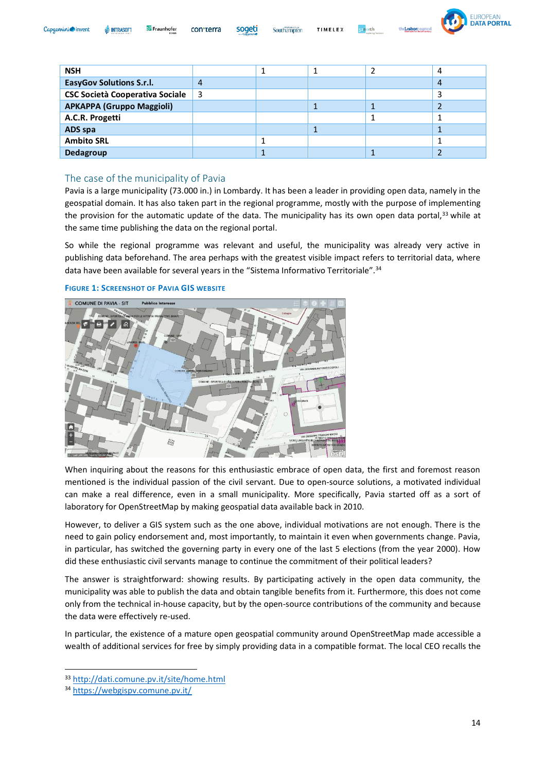| Capgemini invent | <b>WEINTRASOFT</b> | Fraunhofer<br><b>FOKUS</b> | con <sub>terra</sub> | sogeti | <b>AUNIVERSITIES</b><br>Southampton | TIMELEX | 52 <b>n</b> or |
|------------------|--------------------|----------------------------|----------------------|--------|-------------------------------------|---------|----------------|
|                  |                    |                            |                      |        |                                     |         |                |



| <b>NSH</b>                             |    |  | 4 |
|----------------------------------------|----|--|---|
| <b>EasyGov Solutions S.r.l.</b>        | 4  |  | 4 |
| <b>CSC Società Cooperativa Sociale</b> | -3 |  |   |
| <b>APKAPPA (Gruppo Maggioli)</b>       |    |  |   |
| A.C.R. Progetti                        |    |  |   |
| ADS spa                                |    |  |   |
| <b>Ambito SRL</b>                      |    |  |   |
| Dedagroup                              |    |  |   |

#### <span id="page-13-0"></span>The case of the municipality of Pavia

Pavia is a large municipality (73.000 in.) in Lombardy. It has been a leader in providing open data, namely in the geospatial domain. It has also taken part in the regional programme, mostly with the purpose of implementing the provision for the automatic update of the data. The municipality has its own open data portal,<sup>33</sup> while at the same time publishing the data on the regional portal.

So while the regional programme was relevant and useful, the municipality was already very active in publishing data beforehand. The area perhaps with the greatest visible impact refers to territorial data, where data have been available for several years in the "Sistema Informativo Territoriale".<sup>34</sup>

#### **FIGURE 1: SCREENSHOT OF PAVIA GIS WEBSITE**



When inquiring about the reasons for this enthusiastic embrace of open data, the first and foremost reason mentioned is the individual passion of the civil servant. Due to open-source solutions, a motivated individual can make a real difference, even in a small municipality. More specifically, Pavia started off as a sort of laboratory for OpenStreetMap by making geospatial data available back in 2010.

However, to deliver a GIS system such as the one above, individual motivations are not enough. There is the need to gain policy endorsement and, most importantly, to maintain it even when governments change. Pavia, in particular, has switched the governing party in every one of the last 5 elections (from the year 2000). How did these enthusiastic civil servants manage to continue the commitment of their political leaders?

The answer is straightforward: showing results. By participating actively in the open data community, the municipality was able to publish the data and obtain tangible benefits from it. Furthermore, this does not come only from the technical in-house capacity, but by the open-source contributions of the community and because the data were effectively re-used.

In particular, the existence of a mature open geospatial community around OpenStreetMap made accessible a wealth of additional services for free by simply providing data in a compatible format. The local CEO recalls the

<sup>33</sup> <http://dati.comune.pv.it/site/home.html>

<sup>34</sup> <https://webgispv.comune.pv.it/>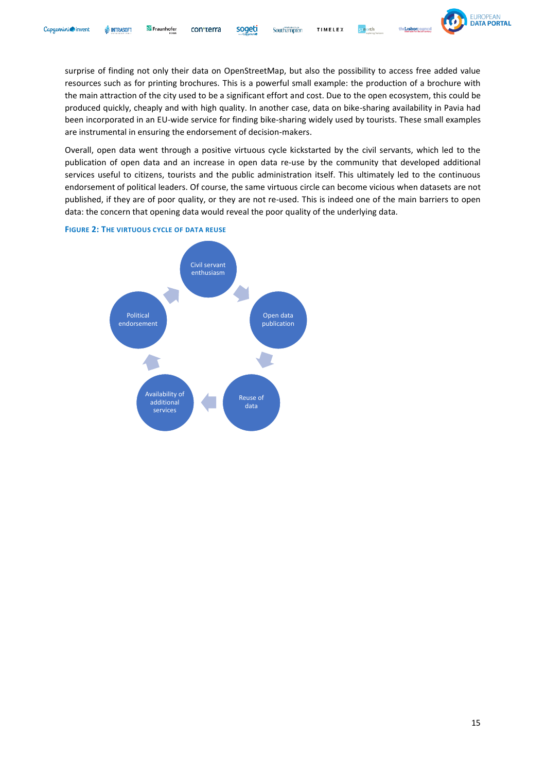Southampton TIMELEX **conorth** 



surprise of finding not only their data on OpenStreetMap, but also the possibility to access free added value resources such as for printing brochures. This is a powerful small example: the production of a brochure with the main attraction of the city used to be a significant effort and cost. Due to the open ecosystem, this could be produced quickly, cheaply and with high quality. In another case, data on bike-sharing availability in Pavia had been incorporated in an EU-wide service for finding bike-sharing widely used by tourists. These small examples are instrumental in ensuring the endorsement of decision-makers.

Overall, open data went through a positive virtuous cycle kickstarted by the civil servants, which led to the publication of open data and an increase in open data re-use by the community that developed additional services useful to citizens, tourists and the public administration itself. This ultimately led to the continuous endorsement of political leaders. Of course, the same virtuous circle can become vicious when datasets are not published, if they are of poor quality, or they are not re-used. This is indeed one of the main barriers to open data: the concern that opening data would reveal the poor quality of the underlying data.



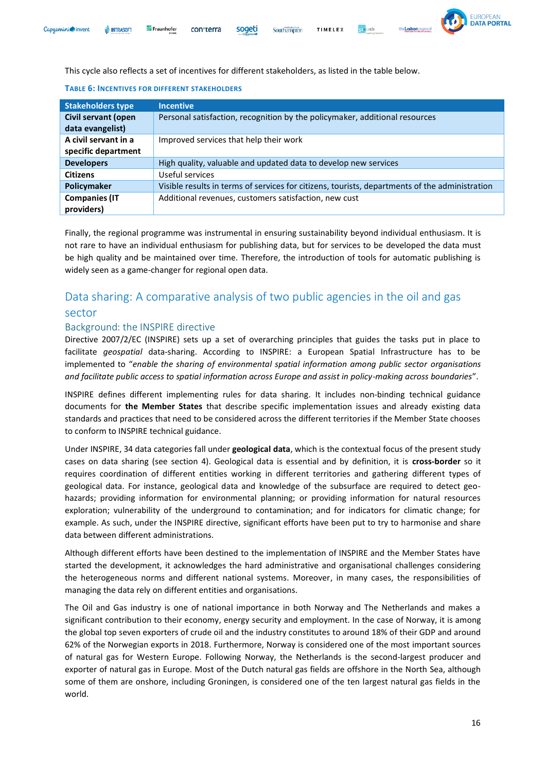

This cycle also reflects a set of incentives for different stakeholders, as listed in the table below.

| <b>Stakeholders type</b>   | <b>Incentive</b>                                                                               |
|----------------------------|------------------------------------------------------------------------------------------------|
| <b>Civil servant (open</b> | Personal satisfaction, recognition by the policymaker, additional resources                    |
| data evangelist)           |                                                                                                |
| A civil servant in a       | Improved services that help their work                                                         |
| specific department        |                                                                                                |
| <b>Developers</b>          | High quality, valuable and updated data to develop new services                                |
| <b>Citizens</b>            | Useful services                                                                                |
| Policymaker                | Visible results in terms of services for citizens, tourists, departments of the administration |
| <b>Companies (IT</b>       | Additional revenues, customers satisfaction, new cust                                          |
| providers)                 |                                                                                                |

#### **TABLE 6: INCENTIVES FOR DIFFERENT STAKEHOLDERS**

Finally, the regional programme was instrumental in ensuring sustainability beyond individual enthusiasm. It is not rare to have an individual enthusiasm for publishing data, but for services to be developed the data must be high quality and be maintained over time. Therefore, the introduction of tools for automatic publishing is widely seen as a game-changer for regional open data.

# <span id="page-15-0"></span>Data sharing: A comparative analysis of two public agencies in the oil and gas sector

#### <span id="page-15-1"></span>Background: the INSPIRE directive

Directive 2007/2/EC (INSPIRE) sets up a set of overarching principles that guides the tasks put in place to facilitate *geospatial* data-sharing. According to INSPIRE: a European Spatial Infrastructure has to be implemented to "*enable the sharing of environmental spatial information among public sector organisations and facilitate public access to spatial information across Europe and assist in policy-making across boundaries*".

INSPIRE defines different implementing rules for data sharing. It includes non-binding technical guidance documents for **the Member States** that describe specific implementation issues and already existing data standards and practices that need to be considered across the different territories if the Member State chooses to conform to INSPIRE technical guidance.

Under INSPIRE, 34 data categories fall under **geological data**, which is the contextual focus of the present study cases on data sharing (see section 4). Geological data is essential and by definition, it is **cross-border** so it requires coordination of different entities working in different territories and gathering different types of geological data. For instance, geological data and knowledge of the subsurface are required to detect geohazards; providing information for environmental planning; or providing information for natural resources exploration; vulnerability of the underground to contamination; and for indicators for climatic change; for example. As such, under the INSPIRE directive, significant efforts have been put to try to harmonise and share data between different administrations.

Although different efforts have been destined to the implementation of INSPIRE and the Member States have started the development, it acknowledges the hard administrative and organisational challenges considering the heterogeneous norms and different national systems. Moreover, in many cases, the responsibilities of managing the data rely on different entities and organisations.

The Oil and Gas industry is one of national importance in both Norway and The Netherlands and makes a significant contribution to their economy, energy security and employment. In the case of Norway, it is among the global top seven exporters of crude oil and the industry constitutes to around 18% of their GDP and around 62% of the Norwegian exports in 2018. Furthermore, Norway is considered one of the most important sources of natural gas for Western Europe. Following Norway, the Netherlands is the second-largest producer and exporter of natural gas in Europe. Most of the Dutch natural gas fields are offshore in the North Sea, although some of them are onshore, including Groningen, is considered one of the ten largest natural gas fields in the world.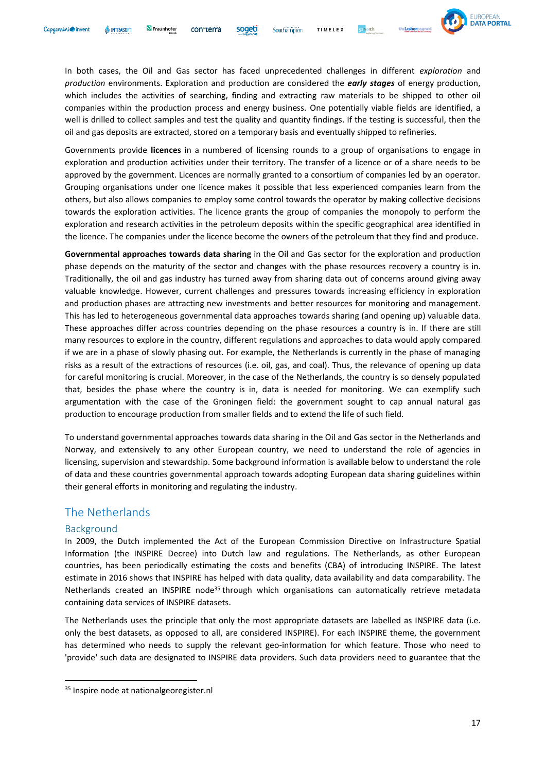

In both cases, the Oil and Gas sector has faced unprecedented challenges in different *exploration* and *production* environments. Exploration and production are considered the *early stages* of energy production, which includes the activities of searching, finding and extracting raw materials to be shipped to other oil companies within the production process and energy business. One potentially viable fields are identified, a well is drilled to collect samples and test the quality and quantity findings. If the testing is successful, then the oil and gas deposits are extracted, stored on a temporary basis and eventually shipped to refineries.

Southampton

Governments provide **licences** in a numbered of licensing rounds to a group of organisations to engage in exploration and production activities under their territory. The transfer of a licence or of a share needs to be approved by the government. Licences are normally granted to a consortium of companies led by an operator. Grouping organisations under one licence makes it possible that less experienced companies learn from the others, but also allows companies to employ some control towards the operator by making collective decisions towards the exploration activities. The licence grants the group of companies the monopoly to perform the exploration and research activities in the petroleum deposits within the specific geographical area identified in the licence. The companies under the licence become the owners of the petroleum that they find and produce.

**Governmental approaches towards data sharing** in the Oil and Gas sector for the exploration and production phase depends on the maturity of the sector and changes with the phase resources recovery a country is in. Traditionally, the oil and gas industry has turned away from sharing data out of concerns around giving away valuable knowledge. However, current challenges and pressures towards increasing efficiency in exploration and production phases are attracting new investments and better resources for monitoring and management. This has led to heterogeneous governmental data approaches towards sharing (and opening up) valuable data. These approaches differ across countries depending on the phase resources a country is in. If there are still many resources to explore in the country, different regulations and approaches to data would apply compared if we are in a phase of slowly phasing out. For example, the Netherlands is currently in the phase of managing risks as a result of the extractions of resources (i.e. oil, gas, and coal). Thus, the relevance of opening up data for careful monitoring is crucial. Moreover, in the case of the Netherlands, the country is so densely populated that, besides the phase where the country is in, data is needed for monitoring. We can exemplify such argumentation with the case of the Groningen field: the government sought to cap annual natural gas production to encourage production from smaller fields and to extend the life of such field.

To understand governmental approaches towards data sharing in the Oil and Gas sector in the Netherlands and Norway, and extensively to any other European country, we need to understand the role of agencies in licensing, supervision and stewardship. Some background information is available below to understand the role of data and these countries governmental approach towards adopting European data sharing guidelines within their general efforts in monitoring and regulating the industry.

#### <span id="page-16-0"></span>The Netherlands

#### <span id="page-16-1"></span>Background

In 2009, the Dutch implemented the Act of the European Commission Directive on Infrastructure Spatial Information (the INSPIRE Decree) into Dutch law and regulations. The Netherlands, as other European countries, has been periodically estimating the costs and benefits (CBA) of introducing INSPIRE. The latest estimate in 2016 shows that INSPIRE has helped with data quality, data availability and data comparability. The Netherlands created an INSPIRE node<sup>35</sup> through which organisations can automatically retrieve metadata containing data services of INSPIRE datasets.

The Netherlands uses the principle that only the most appropriate datasets are labelled as INSPIRE data (i.e. only the best datasets, as opposed to all, are considered INSPIRE). For each INSPIRE theme, the government has determined who needs to supply the relevant geo-information for which feature. Those who need to 'provide' such data are designated to INSPIRE data providers. Such data providers need to guarantee that the

<sup>35</sup> Inspire node at nationalgeoregister.nl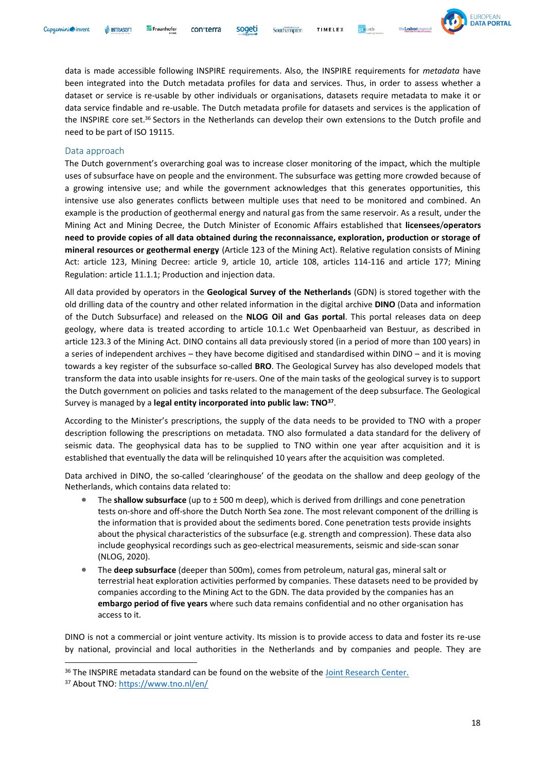

data is made accessible following INSPIRE requirements. Also, the INSPIRE requirements for *metadata* have been integrated into the Dutch metadata profiles for data and services. Thus, in order to assess whether a dataset or service is re-usable by other individuals or organisations, datasets require metadata to make it or data service findable and re-usable. The Dutch metadata profile for datasets and services is the application of the INSPIRE core set.<sup>36</sup> Sectors in the Netherlands can develop their own extensions to the Dutch profile and need to be part of ISO 19115.

Southampton

#### Data approach

The Dutch government's overarching goal was to increase closer monitoring of the impact, which the multiple uses of subsurface have on people and the environment. The subsurface was getting more crowded because of a growing intensive use; and while the government acknowledges that this generates opportunities, this intensive use also generates conflicts between multiple uses that need to be monitored and combined. An example is the production of geothermal energy and natural gas from the same reservoir. As a result, under the Mining Act and Mining Decree, the Dutch Minister of Economic Affairs established that **licensees**/**operators need to provide copies of all data obtained during the reconnaissance, exploration, production or storage of mineral resources or geothermal energy** (Article 123 of the Mining Act). Relative regulation consists of Mining Act: article 123, Mining Decree: article 9, article 10, article 108, articles 114-116 and article 177; Mining Regulation: article 11.1.1; Production and injection data.

All data provided by operators in the **Geological Survey of the Netherlands** (GDN) is stored together with the old drilling data of the country and other related information in the digital archive **DINO** (Data and information of the Dutch Subsurface) and released on the **NLOG Oil and Gas portal**. This portal releases data on deep geology, where data is treated according to article 10.1.c Wet Openbaarheid van Bestuur, as described in article 123.3 of the Mining Act. DINO contains all data previously stored (in a period of more than 100 years) in a series of independent archives – they have become digitised and standardised within DINO – and it is moving towards a key register of the subsurface so-called **BRO**. The Geological Survey has also developed models that transform the data into usable insights for re-users. One of the main tasks of the geological survey is to support the Dutch government on policies and tasks related to the management of the deep subsurface. The Geological Survey is managed by a **legal entity incorporated into public law: TNO<sup>37</sup>** .

According to the Minister's prescriptions, the supply of the data needs to be provided to TNO with a proper description following the prescriptions on metadata. TNO also formulated a data [standard](https://www.nlog.nl/sites/default/files/732229fe-3341-4419-965b-0102d6d79abb_standardfordigitalseismicdatarecommendedbytno_vs2016.doc) for the delivery of seismic data. The geophysical data has to be supplied to TNO within one year after acquisition and it is established that eventually the data will be relinquished 10 years after the acquisition was completed.

Data archived in DINO, the so-called 'clearinghouse' of the geodata on the shallow and deep geology of the Netherlands, which contains data related to:

- The **shallow subsurface** (up to ± 500 m deep), which is derived from drillings and cone penetration tests on-shore and off-shore the Dutch North Sea zone. The most relevant component of the drilling is the information that is provided about the sediments bored. Cone penetration tests provide insights about the physical characteristics of the subsurface (e.g. strength and compression). These data also include geophysical recordings such as geo-electrical measurements, seismic and side-scan sonar (NLOG, 2020).
- The **deep subsurface** (deeper than 500m), comes from petroleum, natural gas, mineral salt or terrestrial heat exploration activities performed by companies. These datasets need to be provided by companies according to the Mining Act to the GDN. The data provided by the companies has an **embargo period of five years** where such data remains confidential and no other organisation has access to it.

DINO is not a commercial or joint venture activity. Its mission is to provide access to data and foster its re-use by national, provincial and local authorities in the Netherlands and by companies and people. They are

<sup>&</sup>lt;sup>36</sup> The INSPIRE metadata standard can be found on the website of the [Joint Research Center.](https://inspire.ec.europa.eu/metadata/6541)

<sup>37</sup> About TNO:<https://www.tno.nl/en/>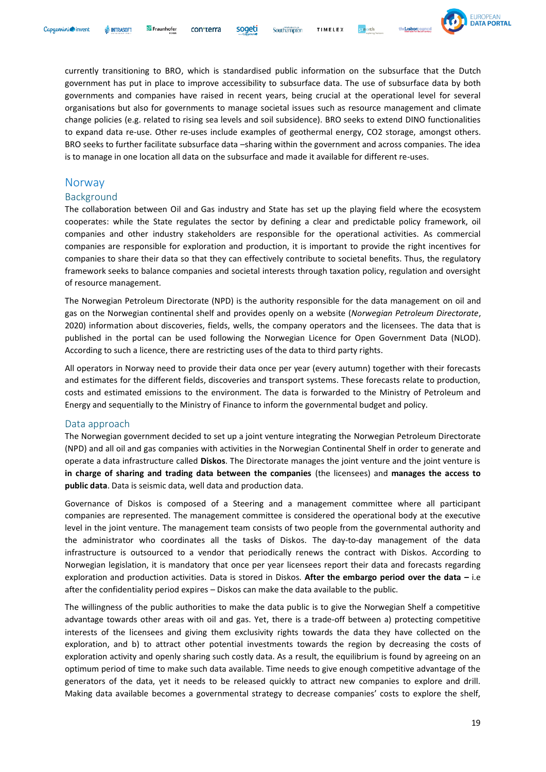

currently transitioning to BRO, which is standardised public information on the subsurface that the Dutch government has put in place to improve accessibility to subsurface data. The use of subsurface data by both governments and companies have raised in recent years, being crucial at the operational level for several organisations but also for governments to manage societal issues such as resource management and climate change policies (e.g. related to rising sea levels and soil subsidence). BRO seeks to extend DINO functionalities to expand data re-use. Other re-uses include examples of geothermal energy, CO2 storage, amongst others. BRO seeks to further facilitate subsurface data –sharing within the government and across companies. The idea is to manage in one location all data on the subsurface and made it available for different re-uses.

Southampton

#### <span id="page-18-0"></span>Norway

#### <span id="page-18-1"></span>Background

The collaboration between Oil and Gas industry and State has set up the playing field where the ecosystem cooperates: while the State regulates the sector by defining a clear and predictable policy framework, oil companies and other industry stakeholders are responsible for the operational activities. As commercial companies are responsible for exploration and production, it is important to provide the right incentives for companies to share their data so that they can effectively contribute to societal benefits. Thus, the regulatory framework seeks to balance companies and societal interests through taxation policy, regulation and oversight of resource management.

The Norwegian Petroleum Directorate (NPD) is the authority responsible for the data management on oil and gas on the Norwegian continental shelf and provides openly on a website (*Norwegian Petroleum Directorate*, 2020) information about discoveries, fields, wells, the company operators and the licensees. The data that is published in the portal can be used following the Norwegian Licence for Open Government Data (NLOD). According to such a licence, there are restricting uses of the data to third party rights.

All operators in Norway need to provide their data once per year (every autumn) together with their forecasts and estimates for the different fields, discoveries and transport systems. These forecasts relate to production, costs and estimated emissions to the environment. The data is forwarded to the Ministry of Petroleum and Energy and sequentially to the Ministry of Finance to inform the governmental budget and policy.

#### <span id="page-18-2"></span>Data approach

The Norwegian government decided to set up a joint venture integrating the Norwegian Petroleum Directorate (NPD) and all oil and gas companies with activities in the Norwegian Continental Shelf in order to generate and operate a data infrastructure called **Diskos**. The Directorate manages the joint venture and the joint venture is **in charge of sharing and trading data between the companies** (the licensees) and **manages the access to public data**. Data is seismic data, well data and production data.

Governance of Diskos is composed of a Steering and a management committee where all participant companies are represented. The management committee is considered the operational body at the executive level in the joint venture. The management team consists of two people from the governmental authority and the administrator who coordinates all the tasks of Diskos. The day-to-day management of the data infrastructure is outsourced to a vendor that periodically renews the contract with Diskos. According to Norwegian legislation, it is mandatory that once per year licensees report their data and forecasts regarding exploration and production activities. Data is stored in Diskos. **After the embargo period over the data –** i.e after the confidentiality period expires – Diskos can make the data available to the public.

The willingness of the public authorities to make the data public is to give the Norwegian Shelf a competitive advantage towards other areas with oil and gas. Yet, there is a trade-off between a) protecting competitive interests of the licensees and giving them exclusivity rights towards the data they have collected on the exploration, and b) to attract other potential investments towards the region by decreasing the costs of exploration activity and openly sharing such costly data. As a result, the equilibrium is found by agreeing on an optimum period of time to make such data available. Time needs to give enough competitive advantage of the generators of the data, yet it needs to be released quickly to attract new companies to explore and drill. Making data available becomes a governmental strategy to decrease companies' costs to explore the shelf,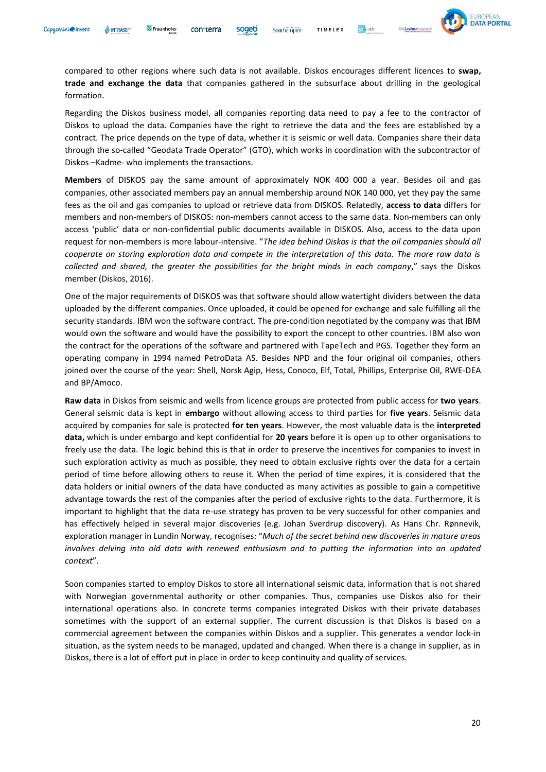

compared to other regions where such data is not available. Diskos encourages different licences to **swap, trade and exchange the data** that companies gathered in the subsurface about drilling in the geological formation.

Regarding the Diskos business model, all companies reporting data need to pay a fee to the contractor of Diskos to upload the data. Companies have the right to retrieve the data and the fees are established by a contract. The price depends on the type of data, whether it is seismic or well data. Companies share their data through the so-called "Geodata Trade Operator" (GTO), which works in coordination with the subcontractor of Diskos –Kadme- who implements the transactions.

**Members** of DISKOS pay the same amount of approximately NOK 400 000 a year. Besides oil and gas companies, other associated members pay an annual membership around NOK 140 000, yet they pay the same fees as the oil and gas companies to upload or retrieve data from DISKOS. Relatedly, **access to data** differs for members and non-members of DISKOS: non-members cannot access to the same data. Non-members can only access 'public' data or non-confidential public documents available in DISKOS. Also, access to the data upon request for non-members is more labour-intensive. "*The idea behind Diskos is that the oil companies should all cooperate on storing exploration data and compete in the interpretation of this data. The more raw data is collected and shared, the greater the possibilities for the bright minds in each company*," says the Diskos member (Diskos, 2016).

One of the major requirements of DISKOS was that software should allow watertight dividers between the data uploaded by the different companies. Once uploaded, it could be opened for exchange and sale fulfilling all the security standards. IBM won the software contract. The pre-condition negotiated by the company was that IBM would own the software and would have the possibility to export the concept to other countries. IBM also won the contract for the operations of the software and partnered with TapeTech and PGS. Together they form an operating company in 1994 named PetroData AS. Besides NPD and the four original oil companies, others joined over the course of the year: Shell, Norsk Agip, Hess, Conoco, Elf, Total, Phillips, Enterprise Oil, RWE-DEA and BP/Amoco.

**Raw data** in Diskos from seismic and wells from licence groups are protected from public access for **two years**. General seismic data is kept in **embargo** without allowing access to third parties for **five years**. Seismic data acquired by companies for sale is protected **for ten years**. However, the most valuable data is the **interpreted data,** which is under embargo and kept confidential for **20 years** before it is open up to other organisations to freely use the data. The logic behind this is that in order to preserve the incentives for companies to invest in such exploration activity as much as possible, they need to obtain exclusive rights over the data for a certain period of time before allowing others to reuse it. When the period of time expires, it is considered that the data holders or initial owners of the data have conducted as many activities as possible to gain a competitive advantage towards the rest of the companies after the period of exclusive rights to the data. Furthermore, it is important to highlight that the data re-use strategy has proven to be very successful for other companies and has effectively helped in several major discoveries (e.g. Johan Sverdrup discovery). As Hans Chr. Rønnevik, exploration manager in Lundin Norway, recognises: "*Much of the secret behind new discoveries in mature areas involves delving into old data with renewed enthusiasm and to putting the information into an updated context*".

Soon companies started to employ Diskos to store all international seismic data, information that is not shared with Norwegian governmental authority or other companies. Thus, companies use Diskos also for their international operations also. In concrete terms companies integrated Diskos with their private databases sometimes with the support of an external supplier. The current discussion is that Diskos is based on a commercial agreement between the companies within Diskos and a supplier. This generates a vendor lock-in situation, as the system needs to be managed, updated and changed. When there is a change in supplier, as in Diskos, there is a lot of effort put in place in order to keep continuity and quality of services.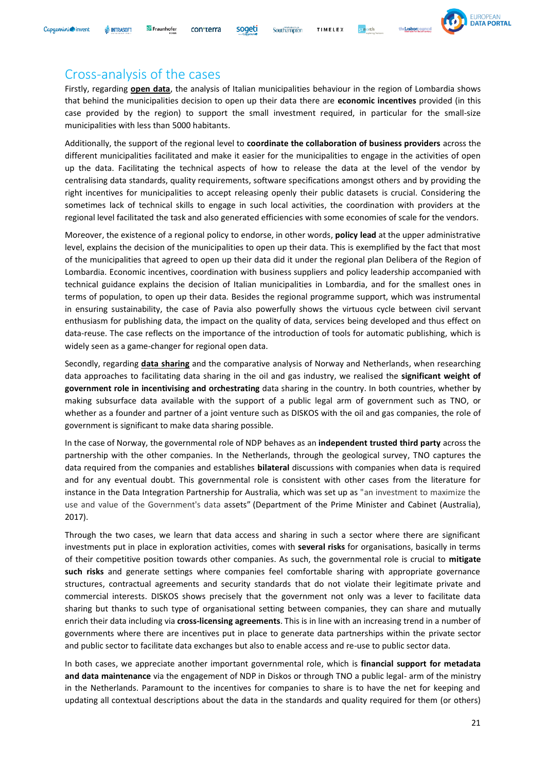# <span id="page-20-0"></span>Cross-analysis of the cases

**W** INTRASOFT

Fraunhofer

Capaemini invent

Firstly, regarding **open data**, the analysis of Italian municipalities behaviour in the region of Lombardia shows that behind the municipalities decision to open up their data there are **economic incentives** provided (in this case provided by the region) to support the small investment required, in particular for the small-size municipalities with less than 5000 habitants.

Southampton

TIMELEX

sogeti

con<sub>terra</sub>

Additionally, the support of the regional level to **coordinate the collaboration of business providers** across the different municipalities facilitated and make it easier for the municipalities to engage in the activities of open up the data. Facilitating the technical aspects of how to release the data at the level of the vendor by centralising data standards, quality requirements, software specifications amongst others and by providing the right incentives for municipalities to accept releasing openly their public datasets is crucial. Considering the sometimes lack of technical skills to engage in such local activities, the coordination with providers at the regional level facilitated the task and also generated efficiencies with some economies of scale for the vendors.

Moreover, the existence of a regional policy to endorse, in other words, **policy lead** at the upper administrative level, explains the decision of the municipalities to open up their data. This is exemplified by the fact that most of the municipalities that agreed to open up their data did it under the regional plan Delibera of the Region of Lombardia. Economic incentives, coordination with business suppliers and policy leadership accompanied with technical guidance explains the decision of Italian municipalities in Lombardia, and for the smallest ones in terms of population, to open up their data. Besides the regional programme support, which was instrumental in ensuring sustainability, the case of Pavia also powerfully shows the virtuous cycle between civil servant enthusiasm for publishing data, the impact on the quality of data, services being developed and thus effect on data-reuse. The case reflects on the importance of the introduction of tools for automatic publishing, which is widely seen as a game-changer for regional open data.

Secondly, regarding **data sharing** and the comparative analysis of Norway and Netherlands, when researching data approaches to facilitating data sharing in the oil and gas industry, we realised the **significant weight of government role in incentivising and orchestrating** data sharing in the country. In both countries, whether by making subsurface data available with the support of a public legal arm of government such as TNO, or whether as a founder and partner of a joint venture such as DISKOS with the oil and gas companies, the role of government is significant to make data sharing possible.

In the case of Norway, the governmental role of NDP behaves as an **independent trusted third party** across the partnership with the other companies. In the Netherlands, through the geological survey, TNO captures the data required from the companies and establishes **bilateral** discussions with companies when data is required and for any eventual doubt. This governmental role is consistent with other cases from the literature for instance in the Data Integration Partnership for Australia, which was set up as "an investment to maximize the use and value of the Government's data assets" (Department of the Prime Minister and Cabinet (Australia), 2017).

Through the two cases, we learn that data access and sharing in such a sector where there are significant investments put in place in exploration activities, comes with **several risks** for organisations, basically in terms of their competitive position towards other companies. As such, the governmental role is crucial to **mitigate such risks** and generate settings where companies feel comfortable sharing with appropriate governance structures, contractual agreements and security standards that do not violate their legitimate private and commercial interests. DISKOS shows precisely that the government not only was a lever to facilitate data sharing but thanks to such type of organisational setting between companies, they can share and mutually enrich their data including via **cross-licensing agreements**. This is in line with an increasing trend in a number of governments where there are incentives put in place to generate data partnerships within the private sector and public sector to facilitate data exchanges but also to enable access and re-use to public sector data.

In both cases, we appreciate another important governmental role, which is **financial support for metadata and data maintenance** via the engagement of NDP in Diskos or through TNO a public legal- arm of the ministry in the Netherlands. Paramount to the incentives for companies to share is to have the net for keeping and updating all contextual descriptions about the data in the standards and quality required for them (or others)

**EUROPEAN DATA PORTAL**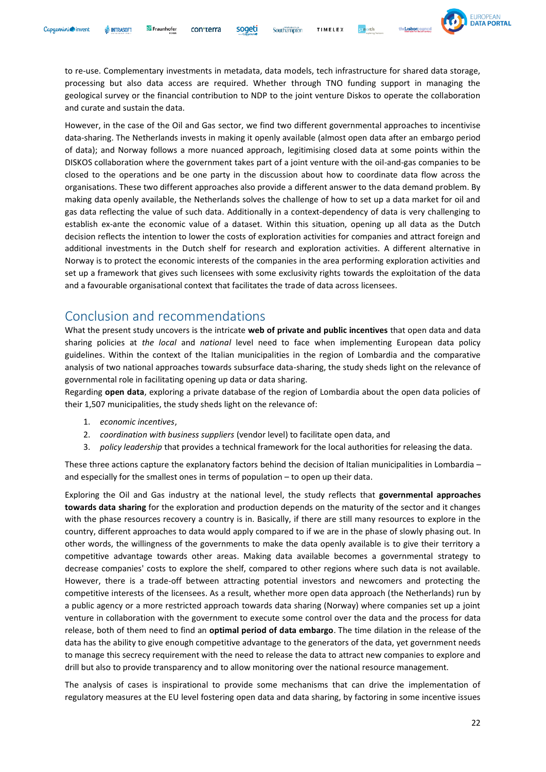

to re-use. Complementary investments in metadata, data models, tech infrastructure for shared data storage, processing but also data access are required. Whether through TNO funding support in managing the geological survey or the financial contribution to NDP to the joint venture Diskos to operate the collaboration and curate and sustain the data.

However, in the case of the Oil and Gas sector, we find two different governmental approaches to incentivise data-sharing. The Netherlands invests in making it openly available (almost open data after an embargo period of data); and Norway follows a more nuanced approach, legitimising closed data at some points within the DISKOS collaboration where the government takes part of a joint venture with the oil-and-gas companies to be closed to the operations and be one party in the discussion about how to coordinate data flow across the organisations. These two different approaches also provide a different answer to the data demand problem. By making data openly available, the Netherlands solves the challenge of how to set up a data market for oil and gas data reflecting the value of such data. Additionally in a context-dependency of data is very challenging to establish ex-ante the economic value of a dataset. Within this situation, opening up all data as the Dutch decision reflects the intention to lower the costs of exploration activities for companies and attract foreign and additional investments in the Dutch shelf for research and exploration activities. A different alternative in Norway is to protect the economic interests of the companies in the area performing exploration activities and set up a framework that gives such licensees with some exclusivity rights towards the exploitation of the data and a favourable organisational context that facilitates the trade of data across licensees.

## <span id="page-21-0"></span>Conclusion and recommendations

What the present study uncovers is the intricate **web of private and public incentives** that open data and data sharing policies at *the local* and *national* level need to face when implementing European data policy guidelines. Within the context of the Italian municipalities in the region of Lombardia and the comparative analysis of two national approaches towards subsurface data-sharing, the study sheds light on the relevance of governmental role in facilitating opening up data or data sharing.

Regarding **open data**, exploring a private database of the region of Lombardia about the open data policies of their 1,507 municipalities, the study sheds light on the relevance of:

- 1. *economic incentives*,
- 2. *coordination with business suppliers* (vendor level) to facilitate open data, and
- 3. *policy leadership* that provides a technical framework for the local authorities for releasing the data.

These three actions capture the explanatory factors behind the decision of Italian municipalities in Lombardia – and especially for the smallest ones in terms of population – to open up their data.

Exploring the Oil and Gas industry at the national level, the study reflects that **governmental approaches towards data sharing** for the exploration and production depends on the maturity of the sector and it changes with the phase resources recovery a country is in. Basically, if there are still many resources to explore in the country, different approaches to data would apply compared to if we are in the phase of slowly phasing out. In other words, the willingness of the governments to make the data openly available is to give their territory a competitive advantage towards other areas. Making data available becomes a governmental strategy to decrease companies' costs to explore the shelf, compared to other regions where such data is not available. However, there is a trade-off between attracting potential investors and newcomers and protecting the competitive interests of the licensees. As a result, whether more open data approach (the Netherlands) run by a public agency or a more restricted approach towards data sharing (Norway) where companies set up a joint venture in collaboration with the government to execute some control over the data and the process for data release, both of them need to find an **optimal period of data embargo**. The time dilation in the release of the data has the ability to give enough competitive advantage to the generators of the data, yet government needs to manage this secrecy requirement with the need to release the data to attract new companies to explore and drill but also to provide transparency and to allow monitoring over the national resource management.

The analysis of cases is inspirational to provide some mechanisms that can drive the implementation of regulatory measures at the EU level fostering open data and data sharing, by factoring in some incentive issues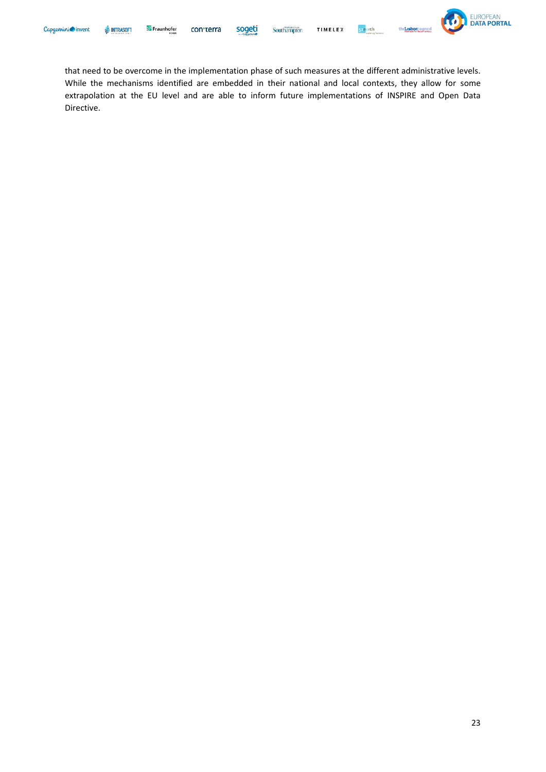s<sub>2</sub>north



that need to be overcome in the implementation phase of such measures at the different administrative levels. While the mechanisms identified are embedded in their national and local contexts, they allow for some extrapolation at the EU level and are able to inform future implementations of INSPIRE and Open Data Directive.